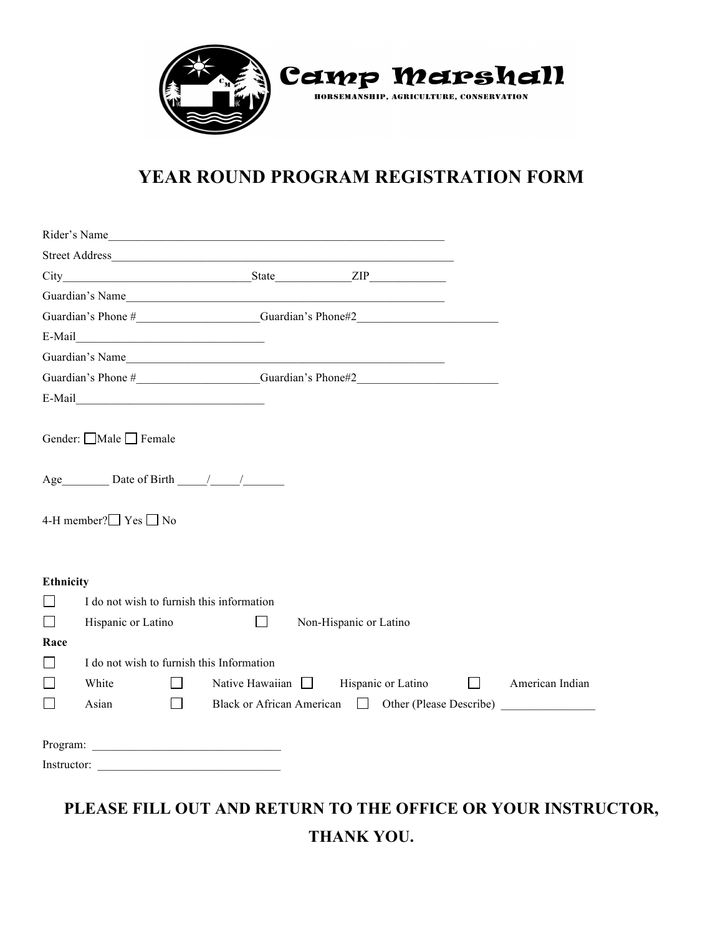

# **YEAR ROUND PROGRAM REGISTRATION FORM**

|                  | Rider's Name                                                                      |        |                        |                        |                    |                                                  |
|------------------|-----------------------------------------------------------------------------------|--------|------------------------|------------------------|--------------------|--------------------------------------------------|
|                  |                                                                                   |        |                        |                        |                    |                                                  |
|                  |                                                                                   |        |                        |                        |                    |                                                  |
|                  |                                                                                   |        |                        |                        |                    |                                                  |
|                  |                                                                                   |        |                        |                        |                    |                                                  |
|                  | E-Mail                                                                            |        |                        |                        |                    |                                                  |
|                  | Guardian's Name                                                                   |        |                        |                        |                    |                                                  |
|                  | Guardian's Phone #________________________Guardian's Phone#2_____________________ |        |                        |                        |                    |                                                  |
|                  | $E-Mail$                                                                          |        |                        |                        |                    |                                                  |
|                  | Gender: Male Female<br>Age Date of Birth / /                                      |        |                        |                        |                    |                                                  |
|                  | 4-H member?□ Yes □ No                                                             |        |                        |                        |                    |                                                  |
| <b>Ethnicity</b> | I do not wish to furnish this information                                         |        |                        |                        |                    |                                                  |
| $\Box$<br>$\Box$ | Hispanic or Latino                                                                |        | $\Box$                 | Non-Hispanic or Latino |                    |                                                  |
| Race             |                                                                                   |        |                        |                        |                    |                                                  |
| $\Box$           | I do not wish to furnish this Information                                         |        |                        |                        |                    |                                                  |
| $\Box$           | White                                                                             | $\Box$ | Native Hawaiian $\Box$ |                        | Hispanic or Latino | $\Box$ American Indian                           |
| $\Box$           | Asian                                                                             | $\Box$ |                        |                        |                    | Black or African American Dent (Please Describe) |
|                  |                                                                                   |        |                        |                        |                    |                                                  |
|                  |                                                                                   |        |                        |                        |                    |                                                  |
|                  |                                                                                   |        |                        |                        |                    |                                                  |

**THANK YOU.**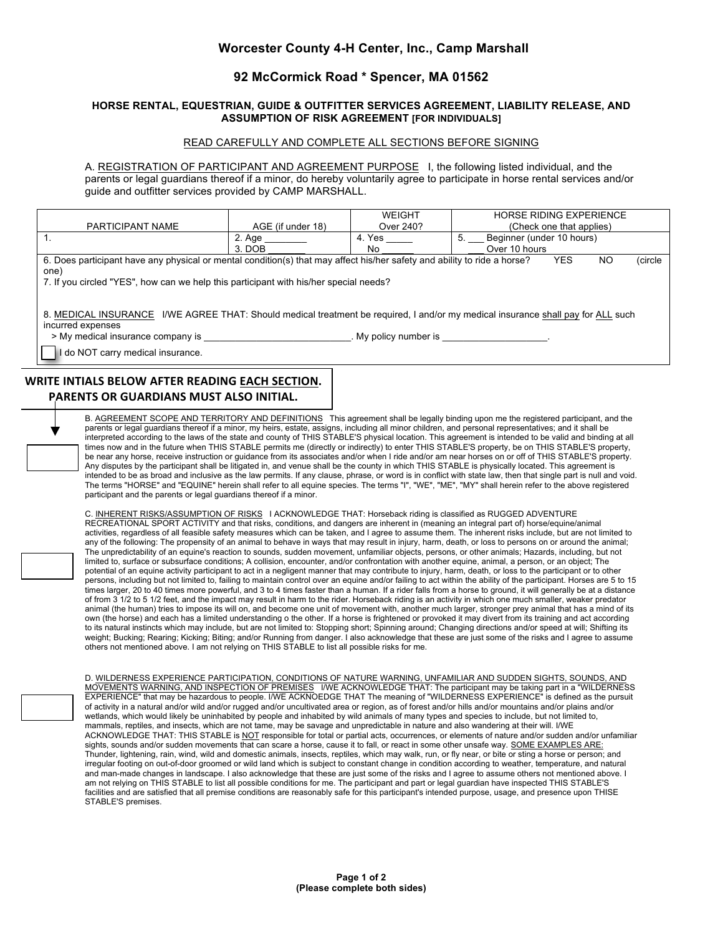## **Worcester County 4-H Center, Inc., Camp Marshall**

### **92 McCormick Road \* Spencer, MA 01562**

#### **HORSE RENTAL, EQUESTRIAN, GUIDE & OUTFITTER SERVICES AGREEMENT, LIABILITY RELEASE, AND ASSUMPTION OF RISK AGREEMENT [FOR INDIVIDUALS]**

#### READ CAREFULLY AND COMPLETE ALL SECTIONS BEFORE SIGNING

A. REGISTRATION OF PARTICIPANT AND AGREEMENT PURPOSE I, the following listed individual, and the parents or legal guardians thereof if a minor, do hereby voluntarily agree to participate in horse rental services and/or guide and outfitter services provided by CAMP MARSHALL.

|                                                                                                                                                                                                                                                           |                   | WEIGHT    | <b>HORSE RIDING EXPERIENCE</b>  |  |  |  |  |  |
|-----------------------------------------------------------------------------------------------------------------------------------------------------------------------------------------------------------------------------------------------------------|-------------------|-----------|---------------------------------|--|--|--|--|--|
| PARTICIPANT NAME                                                                                                                                                                                                                                          | AGE (if under 18) | Over 240? | (Check one that applies)        |  |  |  |  |  |
|                                                                                                                                                                                                                                                           | 2. Age            | 4. Yes    | Beginner (under 10 hours)<br>5. |  |  |  |  |  |
|                                                                                                                                                                                                                                                           | $3.$ DOB          | No        | Over 10 hours                   |  |  |  |  |  |
| 6. Does participant have any physical or mental condition(s) that may affect his/her safety and ability to ride a horse?<br>(circle<br>NO.<br><b>YES</b><br>one)<br>7. If you circled "YES", how can we help this participant with his/her special needs? |                   |           |                                 |  |  |  |  |  |
| 8. MEDICAL INSURANCE I/WE AGREE THAT: Should medical treatment be required, I and/or my medical insurance shall pay for ALL such<br>incurred expenses<br>> My medical insurance company is<br>My policy number is                                         |                   |           |                                 |  |  |  |  |  |
| do NOT carry medical insurance.                                                                                                                                                                                                                           |                   |           |                                 |  |  |  |  |  |
|                                                                                                                                                                                                                                                           |                   |           |                                 |  |  |  |  |  |

## **WRITE INTIALS BELOW AFTER READING EACH SECTION. PARENTS OR GUARDIANS MUST ALSO INITIAL.**

B. AGREEMENT SCOPE AND TERRITORY AND DEFINITIONS This agreement shall be legally binding upon me the registered participant, and the parents or legal guardians thereof if a minor, my heirs, estate, assigns, including all minor children, and personal representatives; and it shall be interpreted according to the laws of the state and county of THIS STABLE'S physical location. This agreement is intended to be valid and binding at all times now and in the future when THIS STABLE permits me (directly or indirectly) to enter THIS STABLE'S property, be on THIS STABLE'S property, be near any horse, receive instruction or guidance from its associates and/or when I ride and/or am near horses on or off of THIS STABLE'S property. Any disputes by the participant shall be litigated in, and venue shall be the county in which THIS STABLE is physically located. This agreement is intended to be as broad and inclusive as the law permits. If any clause, phrase, or word is in conflict with state law, then that single part is null and void. The terms "HORSE" and "EQUINE" herein shall refer to all equine species. The terms "I", "WE", "ME", "MY" shall herein refer to the above registered participant and the parents or legal guardians thereof if a minor.

C. INHERENT RISKS/ASSUMPTION OF RISKS I ACKNOWLEDGE THAT: Horseback riding is classified as RUGGED ADVENTURE RECREATIONAL SPORT ACTIVITY and that risks, conditions, and dangers are inherent in (meaning an integral part of) horse/equine/animal activities, regardless of all feasible safety measures which can be taken, and I agree to assume them. The inherent risks include, but are not limited to any of the following: The propensity of an animal to behave in ways that may result in injury, harm, death, or loss to persons on or around the animal; The unpredictability of an equine's reaction to sounds, sudden movement, unfamiliar objects, persons, or other animals; Hazards, including, but not limited to, surface or subsurface conditions; A collision, encounter, and/or confrontation with another equine, animal, a person, or an object; The potential of an equine activity participant to act in a negligent manner that may contribute to injury, harm, death, or loss to the participant or to other persons, including but not limited to, failing to maintain control over an equine and/or failing to act within the ability of the participant. Horses are 5 to 15 times larger, 20 to 40 times more powerful, and 3 to 4 times faster than a human. If a rider falls from a horse to ground, it will generally be at a distance of from 3 1/2 to 5 1/2 feet, and the impact may result in harm to the rider. Horseback riding is an activity in which one much smaller, weaker predator animal (the human) tries to impose its will on, and become one unit of movement with, another much larger, stronger prey animal that has a mind of its own (the horse) and each has a limited understanding o the other. If a horse is frightened or provoked it may divert from its training and act according to its natural instincts which may include, but are not limited to: Stopping short; Spinning around; Changing directions and/or speed at will; Shifting its weight; Bucking; Rearing; Kicking; Biting; and/or Running from danger. I also acknowledge that these are just some of the risks and I agree to assume<br>others not mentioned above. I am not relying on THIS STABLE to list all

D. WILDERNESS EXPERIENCE PARTICIPATION, CONDITIONS OF NATURE WARNING, UNFAMILIAR AND SUDDEN SIGHTS, SOUNDS, AND MOVEMENTS WARNING, AND INSPECTION OF PREMISES \_I/WE ACKNOWLEDGE THAT: The participant may be taking part in a "WILDERNESS<br>EXPERIENCE" that may be hazardous to people. I/WE ACKNOEDGE THAT The meaning of "WILDERNESS EXPERIEN of activity in a natural and/or wild and/or rugged and/or uncultivated area or region, as of forest and/or hills and/or mountains and/or plains and/or wetlands, which would likely be uninhabited by people and inhabited by wild animals of many types and species to include, but not limited to, mammals, reptiles, and insects, which are not tame, may be savage and unpredictable in nature and also wandering at their will. I/WE ACKNOWLEDGE THAT: THIS STABLE is NOT responsible for total or partial acts, occurrences, or elements of nature and/or sudden and/or unfamiliar sights, sounds and/or sudden movements that can scare a horse, cause it to fall, or react in some other unsafe way. SOME EXAMPLES ARE: Thunder, lightening, rain, wind, wild and domestic animals, insects, reptiles, which may walk, run, or fly near, or bite or sting a horse or person; and irregular footing on out-of-door groomed or wild land which is subject to constant change in condition according to weather, temperature, and natural and man-made changes in landscape. I also acknowledge that these are just some of the risks and I agree to assume others not mentioned above. I am not relying on THIS STABLE to list all possible conditions for me. The participant and part or legal guardian have inspected THIS STABLE'S facilities and are satisfied that all premise conditions are reasonably safe for this participant's intended purpose, usage, and presence upon THISE STABLE'S premises.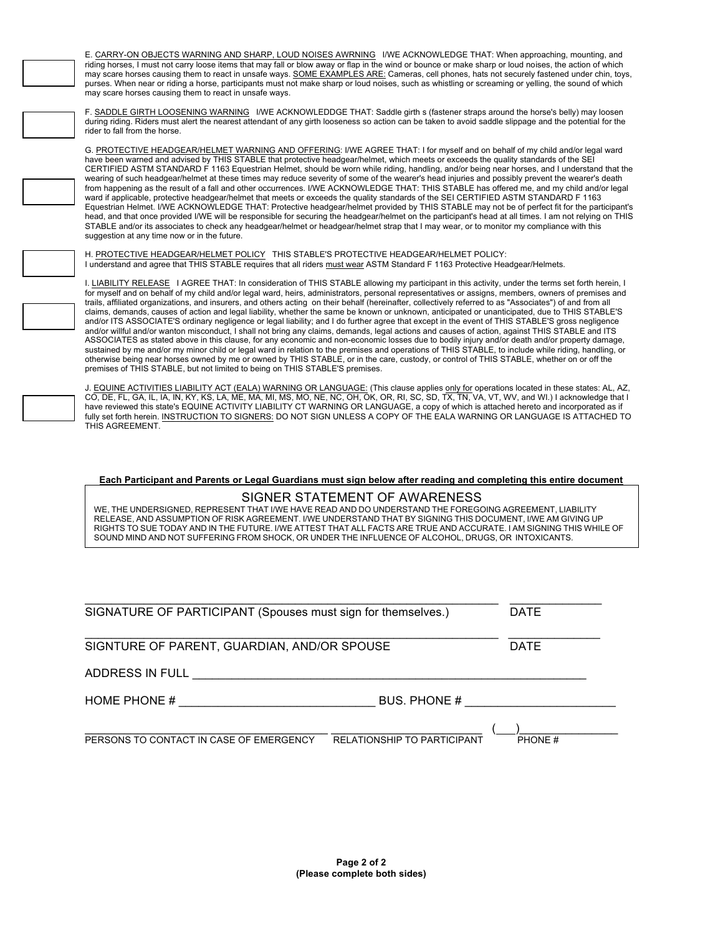E. CARRY-ON OBJECTS WARNING AND SHARP, LOUD NOISES AWRNING I/WE ACKNOWLEDGE THAT: When approaching, mounting, and riding horses, I must not carry loose items that may fall or blow away or flap in the wind or bounce or make sharp or loud noises, the action of which may scare horses causing them to react in unsafe ways. SOME EXAMPLES ARE: Cameras, cell phones, hats not securely fastened under chin, toys, purses. When near or riding a horse, participants must not make sharp or loud noises, such as whistling or screaming or yelling, the sound of which may scare horses causing them to react in unsafe ways.



F. SADDLE GIRTH LOOSENING WARNING I/WE ACKNOWLEDDGE THAT: Saddle girth s (fastener straps around the horse's belly) may loosen during riding. Riders must alert the nearest attendant of any girth looseness so action can be taken to avoid saddle slippage and the potential for the rider to fall from the horse.

G. PROTECTIVE HEADGEAR/HELMET WARNING AND OFFERING: I/WE AGREE THAT: I for myself and on behalf of my child and/or legal ward have been warned and advised by THIS STABLE that protective headgear/helmet, which meets or exceeds the quality standards of the SEI CERTIFIED ASTM STANDARD F 1163 Equestrian Helmet, should be worn while riding, handling, and/or being near horses, and I understand that the wearing of such headgear/helmet at these times may reduce severity of some of the wearer's head injuries and possibly prevent the wearer's death from happening as the result of a fall and other occurrences. I/WE ACKNOWLEDGE THAT: THIS STABLE has offered me, and my child and/or legal ward if applicable, protective headgear/helmet that meets or exceeds the quality standards of the SEI CERTIFIED ASTM STANDARD F 1163 Equestrian Helmet. I/WE ACKNOWLEDGE THAT: Protective headgear/helmet provided by THIS STABLE may not be of perfect fit for the participant's head, and that once provided I/WE will be responsible for securing the headgear/helmet on the participant's head at all times. I am not relying on THIS STABLE and/or its associates to check any headgear/helmet or headgear/helmet strap that I may wear, or to monitor my compliance with this suggestion at any time now or in the future.

H. PROTECTIVE HEADGEAR/HELMET POLICY THIS STABLE'S PROTECTIVE HEADGEAR/HELMET POLICY: I understand and agree that THIS STABLE requires that all riders must wear ASTM Standard F 1163 Protective Headgear/Helmets.

I. LIABILITY RELEASE I AGREE THAT: In consideration of THIS STABLE allowing my participant in this activity, under the terms set forth herein, I for myself and on behalf of my child and/or legal ward, heirs, administrators, personal representatives or assigns, members, owners of premises and trails, affiliated organizations, and insurers, and others acting on their behalf (hereinafter, collectively referred to as "Associates") of and from all claims, demands, causes of action and legal liability, whether the same be known or unknown, anticipated or unanticipated, due to THIS STABLE'S and/or ITS ASSOCIATE'S ordinary negligence or legal liability; and I do further agree that except in the event of THIS STABLE'S gross negligence and/or willful and/or wanton misconduct, I shall not bring any claims, demands, legal actions and causes of action, against THIS STABLE and ITS ASSOCIATES as stated above in this clause, for any economic and non-economic losses due to bodily injury and/or death and/or property damage, sustained by me and/or my minor child or legal ward in relation to the premises and operations of THIS STABLE, to include while riding, handling, or otherwise being near horses owned by me or owned by THIS STABLE, or in the care, custody, or control of THIS STABLE, whether on or off the premises of THIS STABLE, but not limited to being on THIS STABLE'S premises.

J. <u>EQUINE ACTIVITIES LIABILITY ACT (EALA) WARNING OR LANGUAGE:</u> (This clause applies <u>only for</u> operations located in these states: AL, AZ,<br>CO, DE, FL, GA, IL, IA, IN, KY, KS, LA, ME, MA, MI, MS, MO, NE, NC, OH, OK, OR, R have reviewed this state's EQUINE ACTIVITY LIABILITY CT WARNING OR LANGUAGE, a copy of which is attached hereto and incorporated as if fully set forth herein. INSTRUCTION TO SIGNERS: DO NOT SIGN UNLESS A COPY OF THE EALA WARNING OR LANGUAGE IS ATTACHED TO THIS AGREEMENT.

**Each Participant and Parents or Legal Guardians must sign below after reading and completing this entire document**

### SIGNER STATEMENT OF AWARENESS

WE, THE UNDERSIGNED, REPRESENT THAT I/WE HAVE READ AND DO UNDERSTAND THE FOREGOING AGREEMENT, LIABILITY RELEASE, AND ASSUMPTION OF RISK AGREEMENT. I/WE UNDERSTAND THAT BY SIGNING THIS DOCUMENT, I/WE AM GIVING UP RIGHTS TO SUE TODAY AND IN THE FUTURE. I/WE ATTEST THAT ALL FACTS ARE TRUE AND ACCURATE. I AM SIGNING THIS WHILE OF SOUND MIND AND NOT SUFFERING FROM SHOCK, OR UNDER THE INFLUENCE OF ALCOHOL, DRUGS, OR INTOXICANTS.

| SIGNATURE OF PARTICIPANT (Spouses must sign for themselves.) | <b>DATE</b>                        |             |
|--------------------------------------------------------------|------------------------------------|-------------|
| SIGNTURE OF PARENT, GUARDIAN, AND/OR SPOUSE                  |                                    | <b>DATE</b> |
| ADDRESS IN FULL                                              |                                    |             |
| HOME PHONE #                                                 | BUS, PHONE #                       |             |
| PERSONS TO CONTACT IN CASE OF EMERGENCY                      | <b>RELATIONSHIP TO PARTICIPANT</b> | PHONE#      |